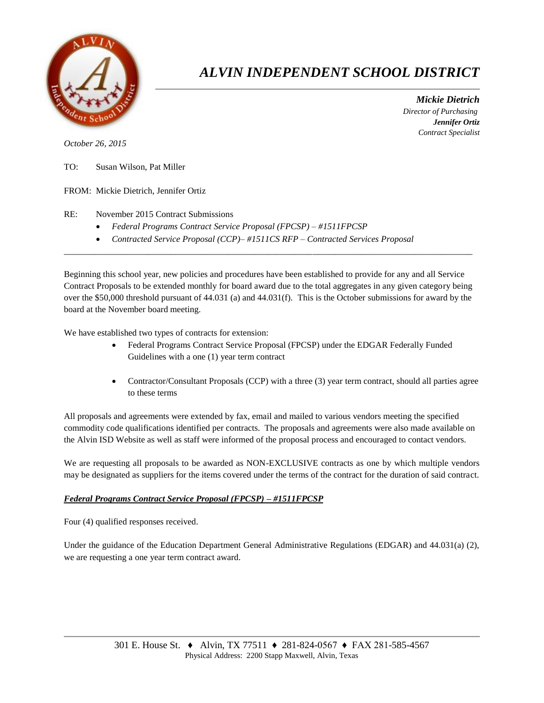

# *ALVIN INDEPENDENT SCHOOL DISTRICT*

 *Mickie Dietrich Director of Purchasing Jennifer Ortiz Contract Specialist*

*October 26, 2015*

- TO: Susan Wilson, Pat Miller
- FROM: Mickie Dietrich, Jennifer Ortiz

### RE: November 2015 Contract Submissions

- *Federal Programs Contract Service Proposal (FPCSP) – #1511FPCSP*
- *Contracted Service Proposal (CCP)– #1511CS RFP – Contracted Services Proposal*

Beginning this school year, new policies and procedures have been established to provide for any and all Service Contract Proposals to be extended monthly for board award due to the total aggregates in any given category being over the \$50,000 threshold pursuant of 44.031 (a) and 44.031(f). This is the October submissions for award by the board at the November board meeting.

 $\overline{a}$  , and the state of the state of the state of the state of the state of the state of the state of the state of the state of the state of the state of the state of the state of the state of the state of the state o

We have established two types of contracts for extension:

- Federal Programs Contract Service Proposal (FPCSP) under the EDGAR Federally Funded Guidelines with a one (1) year term contract
- Contractor/Consultant Proposals (CCP) with a three (3) year term contract, should all parties agree to these terms

All proposals and agreements were extended by fax, email and mailed to various vendors meeting the specified commodity code qualifications identified per contracts. The proposals and agreements were also made available on the Alvin ISD Website as well as staff were informed of the proposal process and encouraged to contact vendors.

We are requesting all proposals to be awarded as NON-EXCLUSIVE contracts as one by which multiple vendors may be designated as suppliers for the items covered under the terms of the contract for the duration of said contract.

#### *Federal Programs Contract Service Proposal (FPCSP) – #1511FPCSP*

Four (4) qualified responses received.

Under the guidance of the Education Department General Administrative Regulations (EDGAR) and 44.031(a) (2), we are requesting a one year term contract award.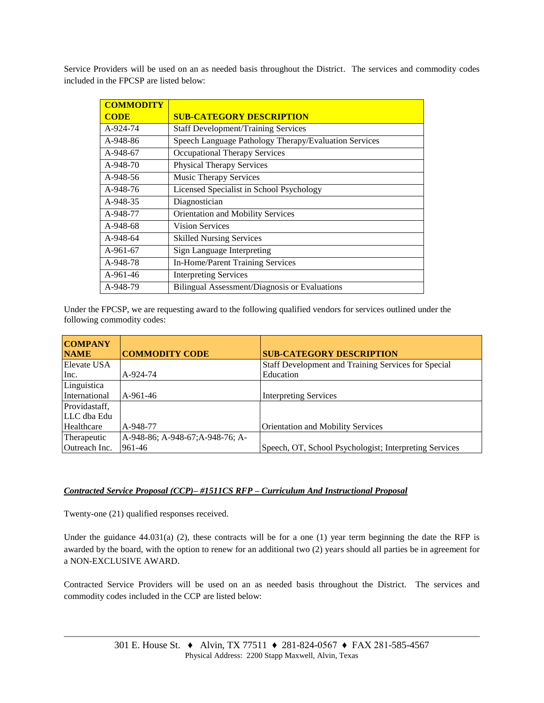Service Providers will be used on an as needed basis throughout the District. The services and commodity codes included in the FPCSP are listed below:

| <b>COMMODITY</b> |                                                       |
|------------------|-------------------------------------------------------|
| <b>CODE</b>      | <b>SUB-CATEGORY DESCRIPTION</b>                       |
| A-924-74         | <b>Staff Development/Training Services</b>            |
| A-948-86         | Speech Language Pathology Therapy/Evaluation Services |
| A-948-67         | <b>Occupational Therapy Services</b>                  |
| A-948-70         | <b>Physical Therapy Services</b>                      |
| $A-948-56$       | <b>Music Therapy Services</b>                         |
| A-948-76         | Licensed Specialist in School Psychology              |
| A-948-35         | Diagnostician                                         |
| A-948-77         | Orientation and Mobility Services                     |
| A-948-68         | <b>Vision Services</b>                                |
| A-948-64         | <b>Skilled Nursing Services</b>                       |
| A-961-67         | Sign Language Interpreting                            |
| A-948-78         | In-Home/Parent Training Services                      |
| $A-961-46$       | <b>Interpreting Services</b>                          |
| A-948-79         | Bilingual Assessment/Diagnosis or Evaluations         |

Under the FPCSP, we are requesting award to the following qualified vendors for services outlined under the following commodity codes:

| <b>COMPANY</b> |                                  |                                                        |
|----------------|----------------------------------|--------------------------------------------------------|
| <b>NAME</b>    | <b>COMMODITY CODE</b>            | <b>SUB-CATEGORY DESCRIPTION</b>                        |
| Elevate USA    |                                  | Staff Development and Training Services for Special    |
| Inc.           | A-924-74                         | Education                                              |
| Linguistica    |                                  |                                                        |
| International  | A-961-46                         | <b>Interpreting Services</b>                           |
| Providastaff,  |                                  |                                                        |
| LLC dba Edu    |                                  |                                                        |
| Healthcare     | A-948-77                         | <b>Orientation and Mobility Services</b>               |
| Therapeutic    | A-948-86; A-948-67; A-948-76; A- |                                                        |
| Outreach Inc.  | 961-46                           | Speech, OT, School Psychologist; Interpreting Services |

## *Contracted Service Proposal (CCP)– #1511CS RFP – Curriculum And Instructional Proposal*

Twenty-one (21) qualified responses received.

Under the guidance  $44.031(a)$  (2), these contracts will be for a one (1) year term beginning the date the RFP is awarded by the board, with the option to renew for an additional two (2) years should all parties be in agreement for a NON-EXCLUSIVE AWARD.

Contracted Service Providers will be used on an as needed basis throughout the District. The services and commodity codes included in the CCP are listed below: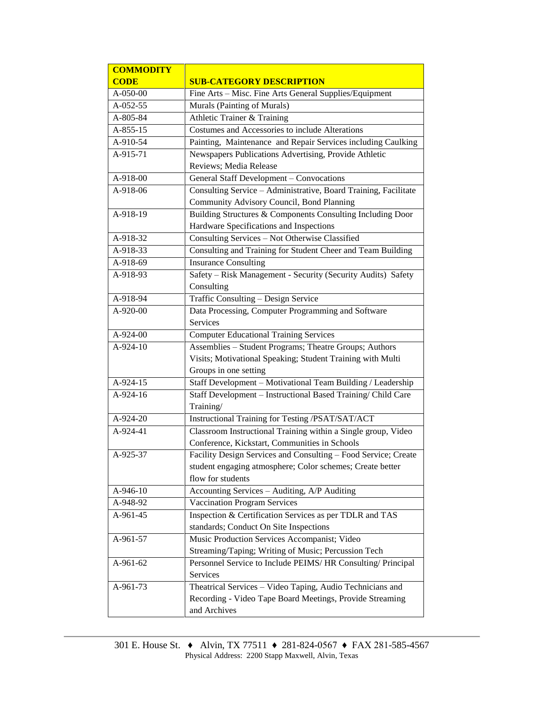| <b>COMMODITY</b> |                                                                 |  |  |  |
|------------------|-----------------------------------------------------------------|--|--|--|
| <b>CODE</b>      | <b>SUB-CATEGORY DESCRIPTION</b>                                 |  |  |  |
| A-050-00         | Fine Arts - Misc. Fine Arts General Supplies/Equipment          |  |  |  |
| A-052-55         | Murals (Painting of Murals)                                     |  |  |  |
| A-805-84         | Athletic Trainer & Training                                     |  |  |  |
| $A-855-15$       | Costumes and Accessories to include Alterations                 |  |  |  |
| A-910-54         | Painting, Maintenance and Repair Services including Caulking    |  |  |  |
| A-915-71         | Newspapers Publications Advertising, Provide Athletic           |  |  |  |
|                  | Reviews; Media Release                                          |  |  |  |
| A-918-00         | General Staff Development - Convocations                        |  |  |  |
| A-918-06         | Consulting Service - Administrative, Board Training, Facilitate |  |  |  |
|                  | Community Advisory Council, Bond Planning                       |  |  |  |
| A-918-19         | Building Structures & Components Consulting Including Door      |  |  |  |
|                  | Hardware Specifications and Inspections                         |  |  |  |
| A-918-32         | Consulting Services - Not Otherwise Classified                  |  |  |  |
| A-918-33         | Consulting and Training for Student Cheer and Team Building     |  |  |  |
| A-918-69         | <b>Insurance Consulting</b>                                     |  |  |  |
| A-918-93         | Safety - Risk Management - Security (Security Audits) Safety    |  |  |  |
|                  | Consulting                                                      |  |  |  |
| A-918-94         | Traffic Consulting - Design Service                             |  |  |  |
| A-920-00         | Data Processing, Computer Programming and Software              |  |  |  |
|                  | Services                                                        |  |  |  |
| $A-924-00$       | <b>Computer Educational Training Services</b>                   |  |  |  |
| A-924-10         | Assemblies - Student Programs; Theatre Groups; Authors          |  |  |  |
|                  | Visits; Motivational Speaking; Student Training with Multi      |  |  |  |
|                  | Groups in one setting                                           |  |  |  |
| $A-924-15$       | Staff Development - Motivational Team Building / Leadership     |  |  |  |
| A-924-16         | Staff Development - Instructional Based Training/ Child Care    |  |  |  |
|                  | Training/                                                       |  |  |  |
| A-924-20         | Instructional Training for Testing /PSAT/SAT/ACT                |  |  |  |
| $A-924-41$       | Classroom Instructional Training within a Single group, Video   |  |  |  |
|                  | Conference, Kickstart, Communities in Schools                   |  |  |  |
| A-925-37         | Facility Design Services and Consulting - Food Service; Create  |  |  |  |
|                  | student engaging atmosphere; Color schemes; Create better       |  |  |  |
|                  | flow for students                                               |  |  |  |
| A-946-10         | Accounting Services - Auditing, A/P Auditing                    |  |  |  |
| A-948-92         | <b>Vaccination Program Services</b>                             |  |  |  |
| A-961-45         | Inspection & Certification Services as per TDLR and TAS         |  |  |  |
|                  | standards; Conduct On Site Inspections                          |  |  |  |
| A-961-57         | Music Production Services Accompanist; Video                    |  |  |  |
|                  | Streaming/Taping; Writing of Music; Percussion Tech             |  |  |  |
| A-961-62         | Personnel Service to Include PEIMS/HR Consulting/ Principal     |  |  |  |
|                  | Services                                                        |  |  |  |
| A-961-73         | Theatrical Services - Video Taping, Audio Technicians and       |  |  |  |
|                  | Recording - Video Tape Board Meetings, Provide Streaming        |  |  |  |
|                  | and Archives                                                    |  |  |  |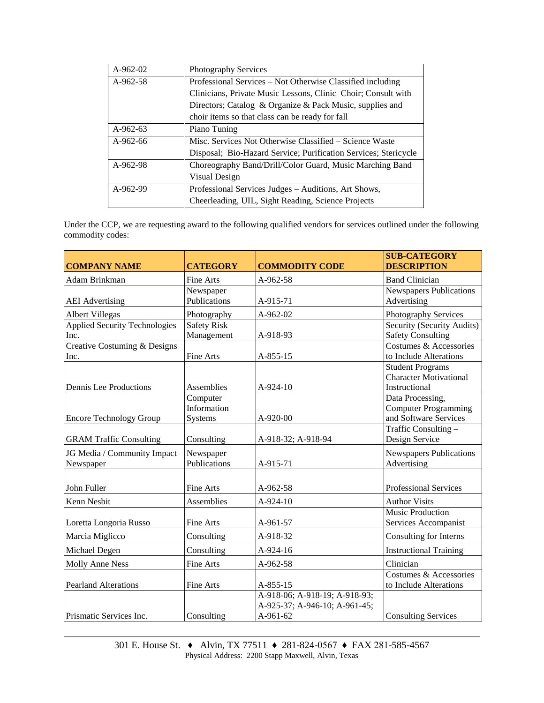| $A-962-02$ | <b>Photography Services</b>                                     |  |  |  |
|------------|-----------------------------------------------------------------|--|--|--|
| A-962-58   | Professional Services – Not Otherwise Classified including      |  |  |  |
|            | Clinicians, Private Music Lessons, Clinic Choir; Consult with   |  |  |  |
|            | Directors; Catalog & Organize & Pack Music, supplies and        |  |  |  |
|            | choir items so that class can be ready for fall                 |  |  |  |
| A-962-63   | Piano Tuning                                                    |  |  |  |
| $A-962-66$ | Misc. Services Not Otherwise Classified – Science Waste         |  |  |  |
|            | Disposal; Bio-Hazard Service; Purification Services; Stericycle |  |  |  |
| A-962-98   | Choreography Band/Drill/Color Guard, Music Marching Band        |  |  |  |
|            | Visual Design                                                   |  |  |  |
| A-962-99   | Professional Services Judges – Auditions, Art Shows,            |  |  |  |
|            | Cheerleading, UIL, Sight Reading, Science Projects              |  |  |  |

Under the CCP, we are requesting award to the following qualified vendors for services outlined under the following commodity codes:

| <b>COMPANY NAME</b>                          | <b>CATEGORY</b>                    | <b>COMMODITY CODE</b>                                                      | <b>SUB-CATEGORY</b><br><b>DESCRIPTION</b>                                 |
|----------------------------------------------|------------------------------------|----------------------------------------------------------------------------|---------------------------------------------------------------------------|
| Adam Brinkman                                | Fine Arts                          | A-962-58                                                                   | <b>Band Clinician</b>                                                     |
| <b>AEI</b> Advertising                       | Newspaper<br>Publications          | A-915-71                                                                   | <b>Newspapers Publications</b><br>Advertising                             |
| <b>Albert Villegas</b>                       | Photography                        | A-962-02                                                                   | Photography Services                                                      |
| <b>Applied Security Technologies</b><br>Inc. | <b>Safety Risk</b><br>Management   | A-918-93                                                                   | Security (Security Audits)<br><b>Safety Consulting</b>                    |
| Creative Costuming & Designs<br>Inc.         | Fine Arts                          | A-855-15                                                                   | Costumes & Accessories<br>to Include Alterations                          |
| Dennis Lee Productions                       | Assemblies                         | $A-924-10$                                                                 | <b>Student Programs</b><br><b>Character Motivational</b><br>Instructional |
| <b>Encore Technology Group</b>               | Computer<br>Information<br>Systems | A-920-00                                                                   | Data Processing,<br><b>Computer Programming</b><br>and Software Services  |
| <b>GRAM Traffic Consulting</b>               | Consulting                         | A-918-32; A-918-94                                                         | Traffic Consulting -<br>Design Service                                    |
| JG Media / Community Impact<br>Newspaper     | Newspaper<br>Publications          | A-915-71                                                                   | <b>Newspapers Publications</b><br>Advertising                             |
| John Fuller                                  | <b>Fine Arts</b>                   | A-962-58                                                                   | Professional Services                                                     |
| Kenn Nesbit                                  | Assemblies                         | A-924-10                                                                   | <b>Author Visits</b>                                                      |
| Loretta Longoria Russo                       | Fine Arts                          | A-961-57                                                                   | <b>Music Production</b><br>Services Accompanist                           |
| Marcia Miglicco                              | Consulting                         | A-918-32                                                                   | Consulting for Interns                                                    |
| Michael Degen                                | Consulting                         | A-924-16                                                                   | <b>Instructional Training</b>                                             |
| <b>Molly Anne Ness</b>                       | Fine Arts                          | A-962-58                                                                   | Clinician                                                                 |
| <b>Pearland Alterations</b>                  | Fine Arts                          | A-855-15                                                                   | Costumes & Accessories<br>to Include Alterations                          |
| Prismatic Services Inc.                      | Consulting                         | A-918-06; A-918-19; A-918-93;<br>A-925-37; A-946-10; A-961-45;<br>A-961-62 | <b>Consulting Services</b>                                                |
|                                              |                                    |                                                                            |                                                                           |